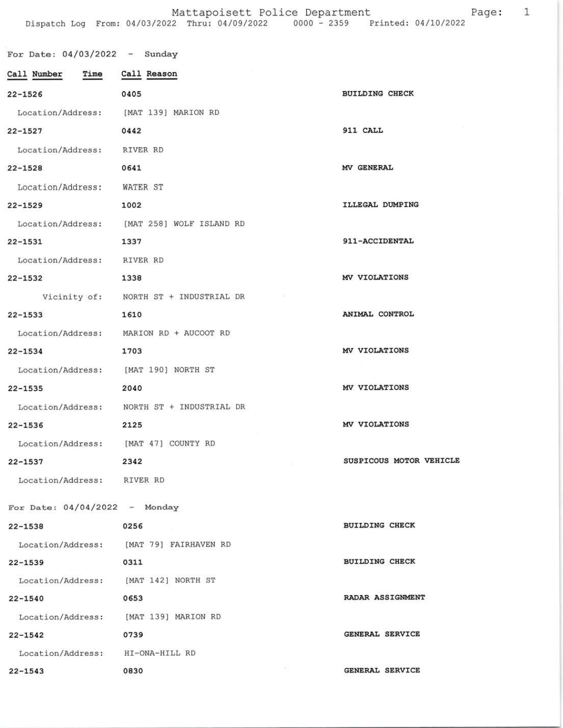Mattapoisett Police Department Page: Dispatch Log From: 04/03/2022 Thru: 04/09/2022 0000 - 2359 Printed: 04/10/2022

1

For Date:  $04/03/2022 -$  Sunday Call Number Time Call Reason **BUILDING CHECK** 0405  $22 - 1526$ [MAT 139] MARION RD Location/Address:  $22 - 1527$ 0442 911 CALL Location/Address: RIVER RD  $22 - 1528$ 0641 MV GENERAL Location/Address: WATER ST ILLEGAL DUMPING 1002  $22 - 1529$ Location/Address: [MAT 258] WOLF ISLAND RD  $22 - 1531$ 1337 911-ACCIDENTAL Location/Address: RIVER RD  $22 - 1532$ MV VIOLATIONS 1338 Vicinity of: NORTH ST + INDUSTRIAL DR ANIMAL CONTROL  $22 - 1533$ 1610 MARION RD + AUCOOT RD Location/Address: MV VIOLATIONS  $22 - 1534$ 1703 [MAT 190] NORTH ST Location/Address: MV VIOLATIONS  $22 - 1535$ 2040 NORTH ST + INDUSTRIAL DR Location/Address: MV VIOLATIONS  $22 - 1536$ 2125 [MAT 47] COUNTY RD Location/Address: SUSPICOUS MOTOR VEHICLE  $22 - 1537$ 2342 RIVER RD Location/Address: For Date:  $04/04/2022 -$  Monday **BUILDING CHECK**  $22 - 1538$ 0256 Location/Address: [MAT 79] FAIRHAVEN RD **BUILDING CHECK**  $22 - 1539$ 0311 Location/Address: [MAT 142] NORTH ST RADAR ASSIGNMENT  $22 - 1540$ 0653 Location/Address: [MAT 139] MARION RD 0739 **GENERAL SERVICE**  $22 - 1542$ Location/Address: HI-ONA-HILL RD **GENERAL SERVICE**  $22 - 1543$ 0830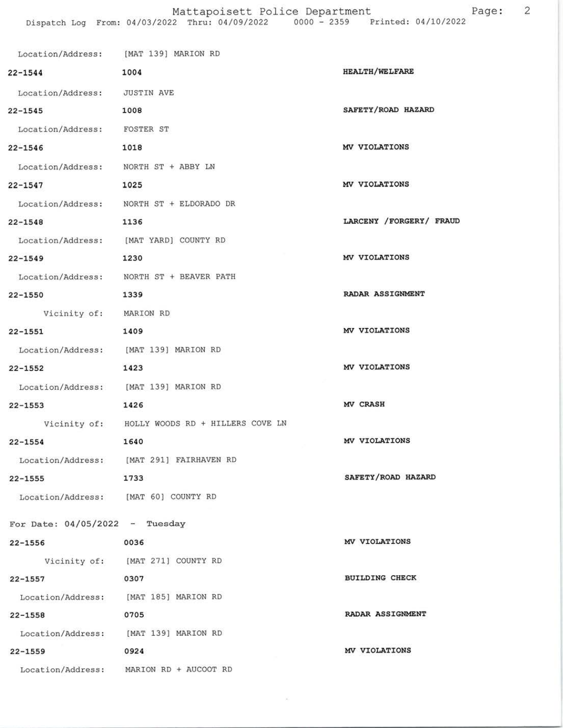## Page: 2

|                                      | Location/Address: [MAT 139] MARION RD         |                           |
|--------------------------------------|-----------------------------------------------|---------------------------|
| $22 - 1544$                          | 1004                                          | <b>HEALTH/WELFARE</b>     |
| Location/Address:                    | <b>JUSTIN AVE</b>                             |                           |
| $22 - 1545$                          | 1008                                          | SAFETY/ROAD HAZARD        |
| Location/Address: FOSTER ST          |                                               |                           |
| 22-1546                              | 1018                                          | MV VIOLATIONS             |
| Location/Address: NORTH ST + ABBY LN |                                               |                           |
| $22 - 1547$                          | 1025                                          | MV VIOLATIONS             |
|                                      | Location/Address: NORTH ST + ELDORADO DR      |                           |
| 22-1548                              | 1136                                          | LARCENY / FORGERY / FRAUD |
|                                      | Location/Address: [MAT YARD] COUNTY RD        |                           |
| $22 - 1549$                          | 1230                                          | MV VIOLATIONS             |
|                                      | Location/Address: NORTH ST + BEAVER PATH      |                           |
| $22 - 1550$                          | 1339                                          | RADAR ASSIGNMENT          |
| Vicinity of: MARION RD               |                                               |                           |
| 22-1551                              | 1409                                          | MV VIOLATIONS             |
|                                      | Location/Address: [MAT 139] MARION RD         |                           |
| $22 - 1552$                          | 1423                                          | MV VIOLATIONS             |
|                                      | Location/Address: [MAT 139] MARION RD         |                           |
| $22 - 1553$                          | 1426                                          | MV CRASH                  |
|                                      | Vicinity of: HOLLY WOODS RD + HILLERS COVE LN |                           |
| $22 - 1554$                          | 1640                                          | MV VIOLATIONS             |
|                                      | Location/Address: [MAT 291] FAIRHAVEN RD      |                           |
| $22 - 1555$                          | 1733                                          | SAFETY/ROAD HAZARD        |
|                                      | Location/Address: [MAT 60] COUNTY RD          |                           |
| For Date: $04/05/2022 -$ Tuesday     |                                               |                           |
| 22-1556                              | 0036                                          | MV VIOLATIONS             |
|                                      | Vicinity of: [MAT 271] COUNTY RD              |                           |
| $22 - 1557$                          | 0307                                          | <b>BUILDING CHECK</b>     |
|                                      | Location/Address: [MAT 185] MARION RD         |                           |
| $22 - 1558$                          | 0705                                          | RADAR ASSIGNMENT          |
|                                      | Location/Address: [MAT 139] MARION RD         |                           |
| $22 - 1559$                          | 0924                                          | MV VIOLATIONS             |
|                                      | Location/Address: MARION RD + AUCOOT RD       |                           |
|                                      |                                               |                           |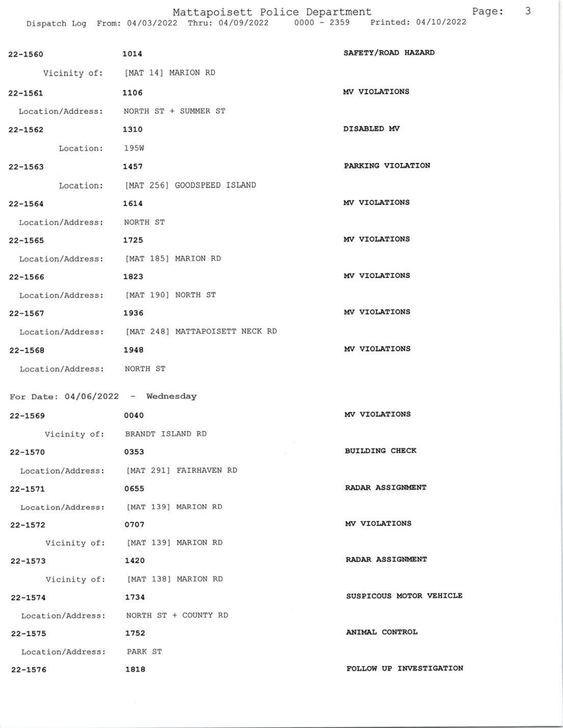Page: 3 Mattapoisett Police Department<br>Dispatch Log From: 04/03/2022 Thru: 04/09/2022 0000 - 2359 Printed: 04/10/2022

| 22-1560                                | 1014                                             | SAFETY/ROAD HAZARD      |
|----------------------------------------|--------------------------------------------------|-------------------------|
|                                        | Vicinity of: [MAT 14] MARION RD                  |                         |
| 22-1561                                | 1106                                             | MV VIOLATIONS           |
| Location/Address: NORTH ST + SUMMER ST |                                                  |                         |
| 1310<br>$22 - 1562$                    |                                                  | DISABLED MV             |
| Location: 195W                         |                                                  |                         |
| 22-1563                                | 1457                                             | PARKING VIOLATION       |
|                                        | Location: [MAT 256] GOODSPEED ISLAND             |                         |
| $22 - 1564$                            | 1614                                             | MV VIOLATIONS           |
| Location/Address: NORTH ST             |                                                  |                         |
| 1725<br>$22 - 1565$                    |                                                  | MV VIOLATIONS           |
| Location/Address: [MAT 185] MARION RD  |                                                  |                         |
| $22 - 1566$<br>1823                    |                                                  | MV VIOLATIONS           |
| Location/Address: [MAT 190] NORTH ST   |                                                  |                         |
| $22 - 1567$                            | 1936                                             | MV VIOLATIONS           |
|                                        | Location/Address: [MAT 248] MATTAPOISETT NECK RD |                         |
| $22 - 1568$                            | 1948                                             | MV VIOLATIONS           |
| Location/Address: NORTH ST             |                                                  |                         |
| For Date: $04/06/2022 -$ Wednesday     |                                                  |                         |
| $22 - 1569$                            | 0040                                             | MV VIOLATIONS           |
|                                        | Vicinity of: BRANDT ISLAND RD                    |                         |
| 0353<br>22-1570                        |                                                  | <b>BUILDING CHECK</b>   |
|                                        | Location/Address: [MAT 291] FAIRHAVEN RD         |                         |
| $22 - 1571$                            | 0655                                             | RADAR ASSIGNMENT        |
| Location/Address: [MAT 139] MARION RD  |                                                  |                         |
| $22 - 1572$                            | 0707                                             | MV VIOLATIONS           |
|                                        | Vicinity of: [MAT 139] MARION RD                 |                         |
| $22 - 1573$                            | 1420                                             | RADAR ASSIGNMENT        |
|                                        | Vicinity of: [MAT 138] MARION RD                 |                         |
| $22 - 1574$                            | 1734                                             | SUSPICOUS MOTOR VEHICLE |
|                                        | Location/Address: NORTH ST + COUNTY RD           |                         |
| $22 - 1575$                            | 1752                                             | ANIMAL CONTROL          |
| Location/Address: PARK ST              |                                                  |                         |
| $22 - 1576$                            | 1818                                             | FOLLOW UP INVESTIGATION |
|                                        |                                                  |                         |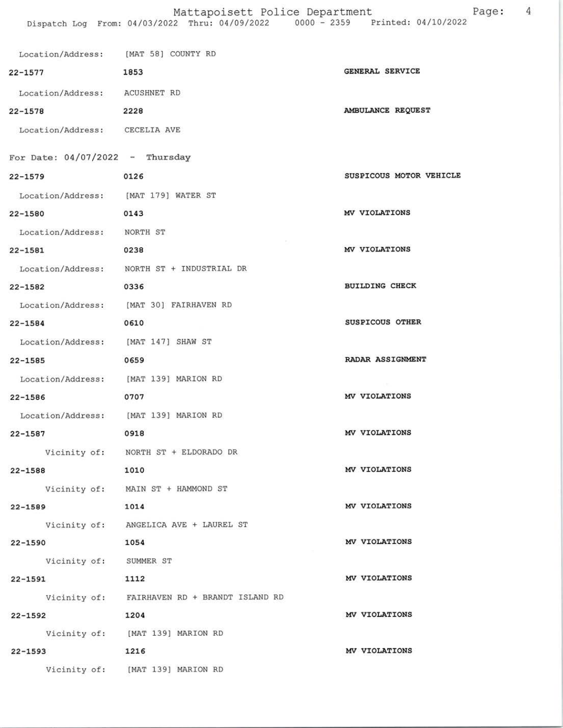## Mattapoisett Police Department Page: 4

| Location/Address: [MAT 58] COUNTY RD    |                                              |                         |
|-----------------------------------------|----------------------------------------------|-------------------------|
| 22-1577                                 | 1853                                         | GENERAL SERVICE         |
| Location/Address: ACUSHNET RD           |                                              |                         |
| $22 - 1578$                             | 2228                                         | AMBULANCE REQUEST       |
| Location/Address: CECELIA AVE           |                                              |                         |
| For Date: $04/07/2022 - Thursday$       |                                              |                         |
| $22 - 1579$                             | 0126                                         | SUSPICOUS MOTOR VEHICLE |
| Location/Address: [MAT 179] WATER ST    |                                              |                         |
| 22-1580                                 | 0143                                         | MV VIOLATIONS           |
| Location/Address: NORTH ST              |                                              |                         |
| 22-1581                                 | 0238                                         | MV VIOLATIONS           |
|                                         | Location/Address: NORTH ST + INDUSTRIAL DR   |                         |
| $22 - 1582$                             | 0336                                         | <b>BUILDING CHECK</b>   |
| Location/Address: [MAT 30] FAIRHAVEN RD |                                              |                         |
| $22 - 1584$                             | 0610                                         | SUSPICOUS OTHER         |
| Location/Address: [MAT 147] SHAW ST     |                                              |                         |
| $22 - 1585$                             | 0659                                         | RADAR ASSIGNMENT        |
| Location/Address: [MAT 139] MARION RD   |                                              |                         |
| $22 - 1586$                             | 0707                                         | MV VIOLATIONS           |
| Location/Address: [MAT 139] MARION RD   |                                              |                         |
| $22 - 1587$                             | 0918                                         | MV VIOLATIONS           |
|                                         | Vicinity of: NORTH ST + ELDORADO DR          |                         |
| 22-1588                                 | 1010                                         | MV VIOLATIONS           |
|                                         | Vicinity of: MAIN ST + HAMMOND ST            |                         |
| $22 - 1589$                             | 1014                                         | MV VIOLATIONS           |
|                                         | Vicinity of: ANGELICA AVE + LAUREL ST        |                         |
| $22 - 1590$                             | 1054                                         | MV VIOLATIONS           |
| Vicinity of: SUMMER ST                  |                                              |                         |
| 22-1591                                 | 1112                                         | MV VIOLATIONS           |
|                                         | Vicinity of: FAIRHAVEN RD + BRANDT ISLAND RD |                         |
| $22 - 1592$                             | 1204                                         | MV VIOLATIONS           |
|                                         | Vicinity of: [MAT 139] MARION RD             |                         |
| $22 - 1593$                             | 1216                                         | MV VIOLATIONS           |
|                                         | Vicinity of: [MAT 139] MARION RD             |                         |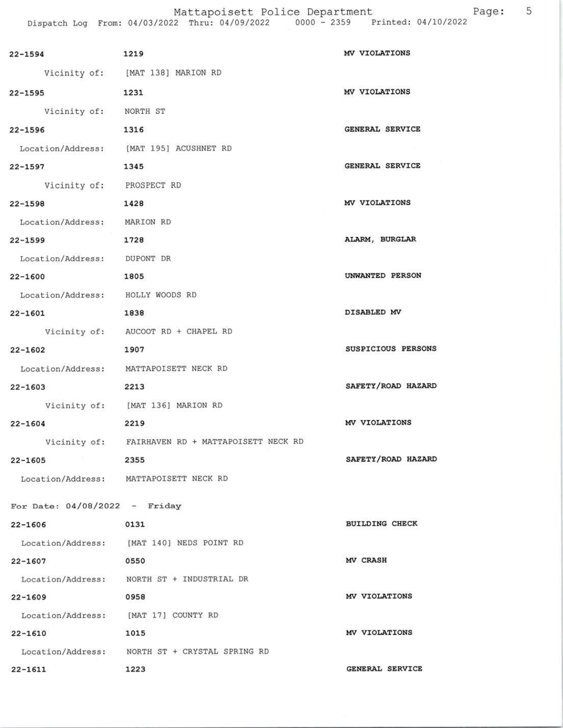Mattapoisett Police Department Dispatch Log Erom: 04/03/2022 Thru: 04/09/2022 0000 - 2359 Printed: 04/10/2022

| $22 - 1594$                          | 1219                                             | MV VIOLATIONS         |
|--------------------------------------|--------------------------------------------------|-----------------------|
|                                      | Vicinity of: [MAT 138] MARION RD                 |                       |
| $22 - 1595$                          | 1231                                             | MV VIOLATIONS         |
| Vicinity of: NORTH ST                |                                                  |                       |
| $22 - 1596$                          | 1316                                             | GENERAL SERVICE       |
|                                      | Location/Address: [MAT 195] ACUSHNET RD          |                       |
| $22 - 1597$                          | 1345                                             | GENERAL SERVICE       |
| Vicinity of: PROSPECT RD             |                                                  |                       |
| $22 - 1598$                          | 1428                                             | MV VIOLATIONS         |
| Location/Address: MARION RD          |                                                  |                       |
| $22 - 1599$                          | 1728                                             | ALARM, BURGLAR        |
| Location/Address: DUPONT DR          |                                                  |                       |
| $22 - 1600$                          | 1805                                             | UNWANTED PERSON       |
| Location/Address: HOLLY WOODS RD     |                                                  |                       |
| $22 - 1601$                          | 1838                                             | DISABLED MV           |
|                                      | Vicinity of: AUCOOT RD + CHAPEL RD               |                       |
| $22 - 1602$                          | 1907                                             | SUSPICIOUS PERSONS    |
|                                      | Location/Address: MATTAPOISETT NECK RD           |                       |
| $22 - 1603$                          | 2213                                             | SAFETY/ROAD HAZARD    |
|                                      | Vicinity of: [MAT 136] MARION RD                 |                       |
| $22 - 1604$                          | 2219                                             | MV VIOLATIONS         |
|                                      | Vicinity of: FAIRHAVEN RD + MATTAPOISETT NECK RD |                       |
| 22-1605                              | 2355                                             | SAFETY/ROAD HAZARD    |
|                                      | Location/Address: MATTAPOISETT NECK RD           |                       |
| For Date: $04/08/2022 -$ Friday      |                                                  |                       |
| $22 - 1606$                          | 0131                                             | <b>BUILDING CHECK</b> |
|                                      | Location/Address: [MAT 140] NEDS POINT RD        |                       |
| 22-1607                              | 0550                                             | MV CRASH              |
|                                      | Location/Address: NORTH ST + INDUSTRIAL DR       |                       |
| $22 - 1609$                          | 0958                                             | MV VIOLATIONS         |
| Location/Address: [MAT 17] COUNTY RD |                                                  |                       |
| 22-1610                              | 1015                                             | MV VIOLATIONS         |
|                                      | Location/Address: NORTH ST + CRYSTAL SPRING RD   |                       |
| $22 - 1611$                          | 1223                                             | GENERAL SERVICE       |

Page: 5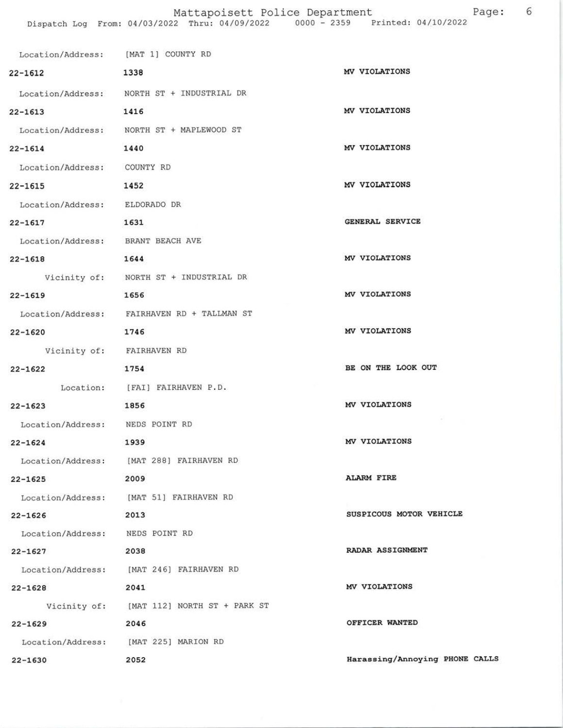| Location/Address: [MAT 1] COUNTY RD |                                             |                                |
|-------------------------------------|---------------------------------------------|--------------------------------|
| 22-1612                             | 1338                                        | MV VIOLATIONS                  |
|                                     | Location/Address: NORTH ST + INDUSTRIAL DR  |                                |
| 22-1613                             | 1416                                        | MV VIOLATIONS                  |
|                                     | Location/Address: NORTH ST + MAPLEWOOD ST   |                                |
| 22-1614                             | 1440                                        | MV VIOLATIONS                  |
| Location/Address: COUNTY RD         |                                             |                                |
| $22 - 1615$                         | 1452                                        | MV VIOLATIONS                  |
| Location/Address: ELDORADO DR       |                                             |                                |
| $22 - 1617$                         | 1631                                        | <b>GENERAL SERVICE</b>         |
| Location/Address: BRANT BEACH AVE   |                                             |                                |
| $22 - 1618$                         | 1644                                        | MV VIOLATIONS                  |
|                                     | Vicinity of: NORTH ST + INDUSTRIAL DR       |                                |
| $22 - 1619$                         | 1656                                        | MV VIOLATIONS                  |
|                                     | Location/Address: FAIRHAVEN RD + TALLMAN ST |                                |
| $22 - 1620$                         | 1746                                        | MV VIOLATIONS                  |
|                                     | Vicinity of: FAIRHAVEN RD                   |                                |
| $22 - 1622$                         | 1754                                        | BE ON THE LOOK OUT             |
|                                     | Location: [FAI] FAIRHAVEN P.D.              |                                |
| $22 - 1623$                         | 1856                                        | MV VIOLATIONS                  |
| Location/Address: NEDS POINT RD     |                                             |                                |
| $22 - 1624$                         | 1939                                        | MV VIOLATIONS                  |
| Location/Address:                   | [MAT 288] FAIRHAVEN RD                      |                                |
| $22 - 1625$                         | 2009                                        | <b>ALARM FIRE</b>              |
|                                     | Location/Address: [MAT 51] FAIRHAVEN RD     |                                |
| $22 - 1626$                         | 2013                                        | SUSPICOUS MOTOR VEHICLE        |
| Location/Address:                   | NEDS POINT RD                               |                                |
| $22 - 1627$                         | 2038                                        | RADAR ASSIGNMENT               |
| Location/Address:                   | [MAT 246] FAIRHAVEN RD                      |                                |
| $22 - 1628$                         | 2041                                        | MV VIOLATIONS                  |
|                                     | Vicinity of: [MAT 112] NORTH ST + PARK ST   |                                |
| $22 - 1629$                         | 2046                                        | OFFICER WANTED                 |
| Location/Address:                   | [MAT 225] MARION RD                         |                                |
| $22 - 1630$                         | 2052                                        | Harassing/Annoying PHONE CALLS |

6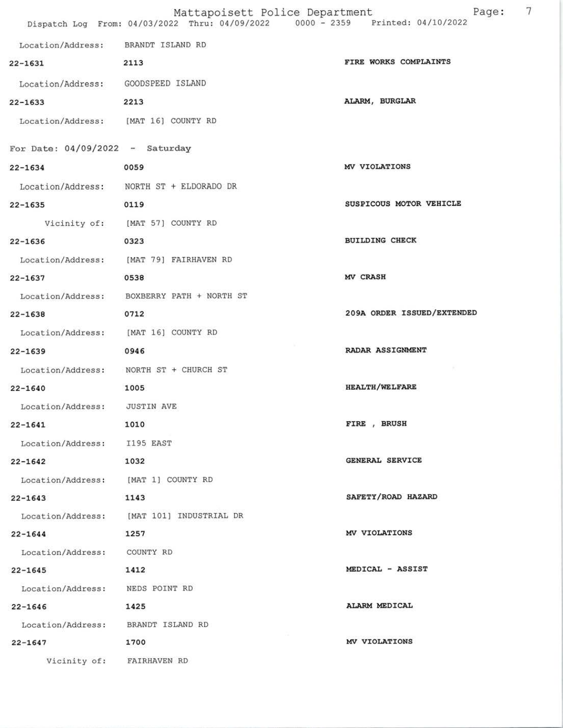|                                      | Mattapoisett Police Department<br>Dispatch Log From: 04/03/2022 Thru: 04/09/2022 | 7<br>Page:<br>0000 - 2359 Printed: 04/10/2022 |
|--------------------------------------|----------------------------------------------------------------------------------|-----------------------------------------------|
| Location/Address: BRANDT ISLAND RD   |                                                                                  |                                               |
| $22 - 1631$                          | 2113                                                                             | FIRE WORKS COMPLAINTS                         |
| Location/Address:                    | GOODSPEED ISLAND                                                                 |                                               |
| $22 - 1633$                          | 2213                                                                             | ALARM, BURGLAR                                |
| Location/Address: [MAT 16] COUNTY RD |                                                                                  |                                               |
| For Date: $04/09/2022 -$ Saturday    |                                                                                  |                                               |
| $22 - 1634$                          | 0059                                                                             | MV VIOLATIONS                                 |
|                                      | Location/Address: NORTH ST + ELDORADO DR                                         |                                               |
| $22 - 1635$                          | 0119                                                                             | SUSPICOUS MOTOR VEHICLE                       |
|                                      | Vicinity of: [MAT 57] COUNTY RD                                                  |                                               |
| $22 - 1636$                          | 0323                                                                             | <b>BUILDING CHECK</b>                         |
|                                      | Location/Address: [MAT 79] FAIRHAVEN RD                                          |                                               |
| $22 - 1637$                          | 0538                                                                             | <b>MV CRASH</b>                               |
| Location/Address:                    | BOXBERRY PATH + NORTH ST                                                         |                                               |
| $22 - 1638$                          | 0712                                                                             | 209A ORDER ISSUED/EXTENDED                    |
| Location/Address:                    | [MAT 16] COUNTY RD                                                               |                                               |
| $22 - 1639$                          | 0946                                                                             | RADAR ASSIGNMENT                              |
| Location/Address:                    | NORTH ST + CHURCH ST                                                             |                                               |
| $22 - 1640$                          | 1005                                                                             | <b>HEALTH/WELFARE</b>                         |
| Location/Address:                    | <b>JUSTIN AVE</b>                                                                |                                               |
| $22 - 1641$                          | 1010                                                                             | FIRE, BRUSH                                   |
| Location/Address: I195 EAST          |                                                                                  |                                               |
| $22 - 1642$                          | 1032                                                                             | GENERAL SERVICE                               |
| Location/Address: [MAT 1] COUNTY RD  |                                                                                  |                                               |
| $22 - 1643$                          | 1143                                                                             | SAFETY/ROAD HAZARD                            |
|                                      | Location/Address: [MAT 101] INDUSTRIAL DR                                        |                                               |
| $22 - 1644$                          | 1257                                                                             | MV VIOLATIONS                                 |
| Location/Address:                    | COUNTY RD                                                                        |                                               |
| $22 - 1645$                          | 1412                                                                             | MEDICAL - ASSIST                              |
| Location/Address: NEDS POINT RD      |                                                                                  |                                               |
| $22 - 1646$                          | 1425                                                                             | ALARM MEDICAL                                 |
| Location/Address: BRANDT ISLAND RD   |                                                                                  |                                               |
| $22 - 1647$                          | 1700                                                                             | MV VIOLATIONS                                 |
| Vicinity of: FAIRHAVEN RD            |                                                                                  |                                               |